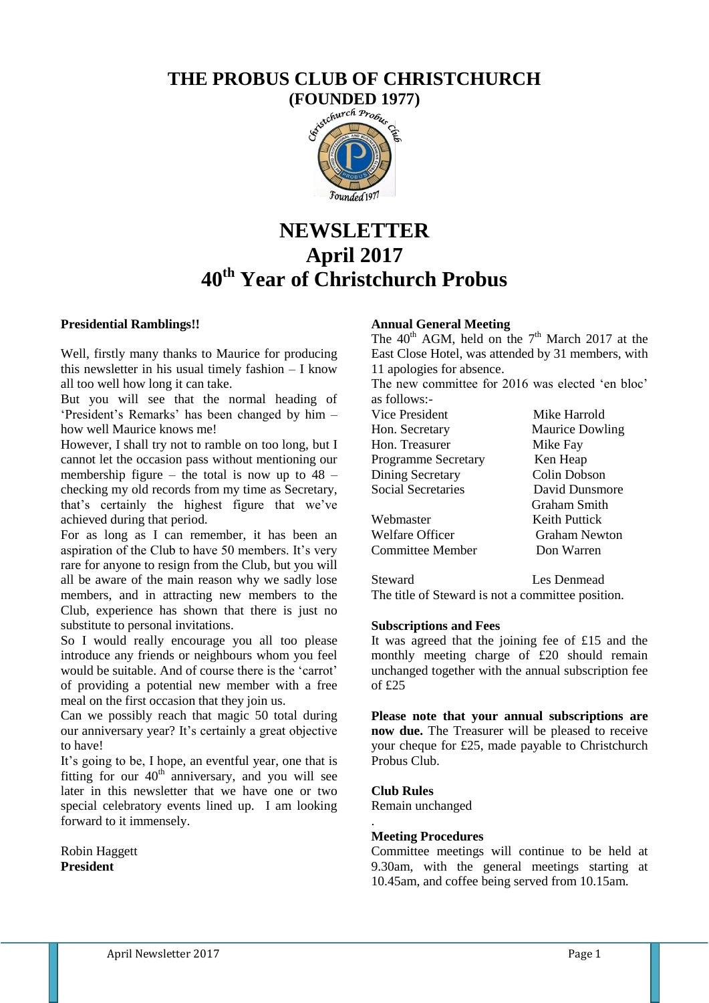# **THE PROBUS CLUB OF CHRISTCHURCH**



# **NEWSLETTER April 2017 40th Year of Christchurch Probus**

#### **Presidential Ramblings!!**

Well, firstly many thanks to Maurice for producing this newsletter in his usual timely fashion – I know all too well how long it can take.

But you will see that the normal heading of "President"s Remarks" has been changed by him – how well Maurice knows me!

However, I shall try not to ramble on too long, but I cannot let the occasion pass without mentioning our membership figure – the total is now up to  $48$ checking my old records from my time as Secretary, that"s certainly the highest figure that we"ve achieved during that period.

For as long as I can remember, it has been an aspiration of the Club to have 50 members. It's very rare for anyone to resign from the Club, but you will all be aware of the main reason why we sadly lose members, and in attracting new members to the Club, experience has shown that there is just no substitute to personal invitations.

So I would really encourage you all too please introduce any friends or neighbours whom you feel would be suitable. And of course there is the "carrot" of providing a potential new member with a free meal on the first occasion that they join us.

Can we possibly reach that magic 50 total during our anniversary year? It's certainly a great objective to have!

It's going to be, I hope, an eventful year, one that is fitting for our  $40<sup>th</sup>$  anniversary, and you will see later in this newsletter that we have one or two special celebratory events lined up. I am looking forward to it immensely.

Robin Haggett **President** 

# **Annual General Meeting**

The  $40<sup>th</sup>$  AGM, held on the  $7<sup>th</sup>$  March 2017 at the East Close Hotel, was attended by 31 members, with 11 apologies for absence.

The new committee for 2016 was elected 'en bloc' as follows:-

| Vice President             | Mike Harrold           |
|----------------------------|------------------------|
| Hon. Secretary             | <b>Maurice Dowling</b> |
| Hon. Treasurer             | Mike Fay               |
| <b>Programme Secretary</b> | Ken Heap               |
| Dining Secretary           | Colin Dobson           |
| <b>Social Secretaries</b>  | David Dunsmore         |
|                            | Graham Smith           |
| Webmaster                  | <b>Keith Puttick</b>   |
| Welfare Officer            | <b>Graham Newton</b>   |
| Committee Member           | Don Warren             |
|                            |                        |

Steward Les Denmead The title of Steward is not a committee position.

#### **Subscriptions and Fees**

It was agreed that the joining fee of £15 and the monthly meeting charge of £20 should remain unchanged together with the annual subscription fee of £25

**Please note that your annual subscriptions are now due.** The Treasurer will be pleased to receive your cheque for £25, made payable to Christchurch Probus Club.

#### **Club Rules**

.

Remain unchanged

#### **Meeting Procedures**

Committee meetings will continue to be held at 9.30am, with the general meetings starting at 10.45am, and coffee being served from 10.15am.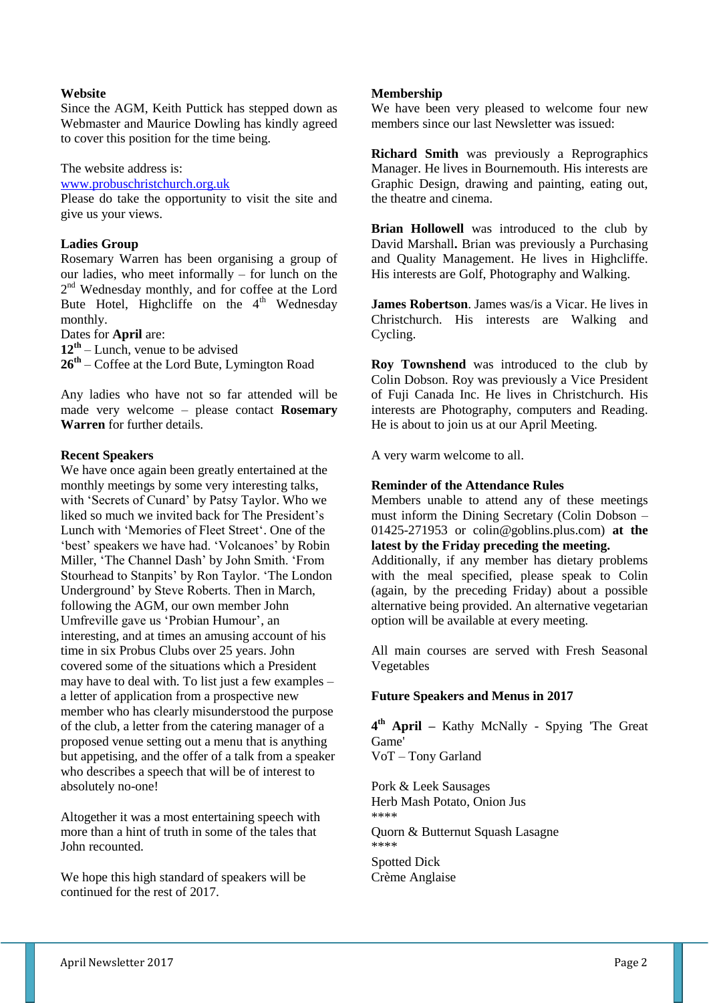#### **Website**

Since the AGM, Keith Puttick has stepped down as Webmaster and Maurice Dowling has kindly agreed to cover this position for the time being.

The website address is:

[www.probuschristchurch.org.uk](http://www.probuschristchurch.org.uk/)

Please do take the opportunity to visit the site and give us your views.

#### **Ladies Group**

Rosemary Warren has been organising a group of our ladies, who meet informally – for lunch on the 2<sup>nd</sup> Wednesday monthly, and for coffee at the Lord Bute Hotel, Highcliffe on the 4<sup>th</sup> Wednesday monthly.

Dates for **April** are:

**12 th** – Lunch, venue to be advised

**26 th** – Coffee at the Lord Bute, Lymington Road

Any ladies who have not so far attended will be made very welcome – please contact **Rosemary Warren** for further details.

#### **Recent Speakers**

We have once again been greatly entertained at the monthly meetings by some very interesting talks, with "Secrets of Cunard" by Patsy Taylor. Who we liked so much we invited back for The President's Lunch with "Memories of Fleet Street". One of the 'best' speakers we have had. 'Volcanoes' by Robin Miller, "The Channel Dash" by John Smith. "From Stourhead to Stanpits" by Ron Taylor. "The London Underground" by Steve Roberts. Then in March, following the AGM, our own member John Umfreville gave us 'Probian Humour', an interesting, and at times an amusing account of his time in six Probus Clubs over 25 years. John covered some of the situations which a President may have to deal with. To list just a few examples – a letter of application from a prospective new member who has clearly misunderstood the purpose of the club, a letter from the catering manager of a proposed venue setting out a menu that is anything but appetising, and the offer of a talk from a speaker who describes a speech that will be of interest to absolutely no-one!

Altogether it was a most entertaining speech with more than a hint of truth in some of the tales that John recounted.

We hope this high standard of speakers will be continued for the rest of 2017.

#### **Membership**

We have been very pleased to welcome four new members since our last Newsletter was issued:

**Richard Smith** was previously a Reprographics Manager. He lives in Bournemouth. His interests are Graphic Design, drawing and painting, eating out, the theatre and cinema.

**Brian Hollowell** was introduced to the club by David Marshall**.** Brian was previously a Purchasing and Quality Management. He lives in Highcliffe. His interests are Golf, Photography and Walking.

**James Robertson**. James was/is a Vicar. He lives in Christchurch. His interests are Walking and Cycling.

**Roy Townshend** was introduced to the club by Colin Dobson. Roy was previously a Vice President of Fuji Canada Inc. He lives in Christchurch. His interests are Photography, computers and Reading. He is about to join us at our April Meeting.

A very warm welcome to all.

#### **Reminder of the Attendance Rules**

Members unable to attend any of these meetings must inform the Dining Secretary (Colin Dobson – 01425-271953 or colin@goblins.plus.com) **at the latest by the Friday preceding the meeting.**

Additionally, if any member has dietary problems with the meal specified, please speak to Colin (again, by the preceding Friday) about a possible alternative being provided. An alternative vegetarian option will be available at every meeting.

All main courses are served with Fresh Seasonal Vegetables

# **Future Speakers and Menus in 2017**

**4 th April –** Kathy McNally - Spying 'The Great Game'

VoT – Tony Garland

Pork & Leek Sausages Herb Mash Potato, Onion Jus \*\*\*\* Quorn & Butternut Squash Lasagne \*\*\*\* Spotted Dick Crème Anglaise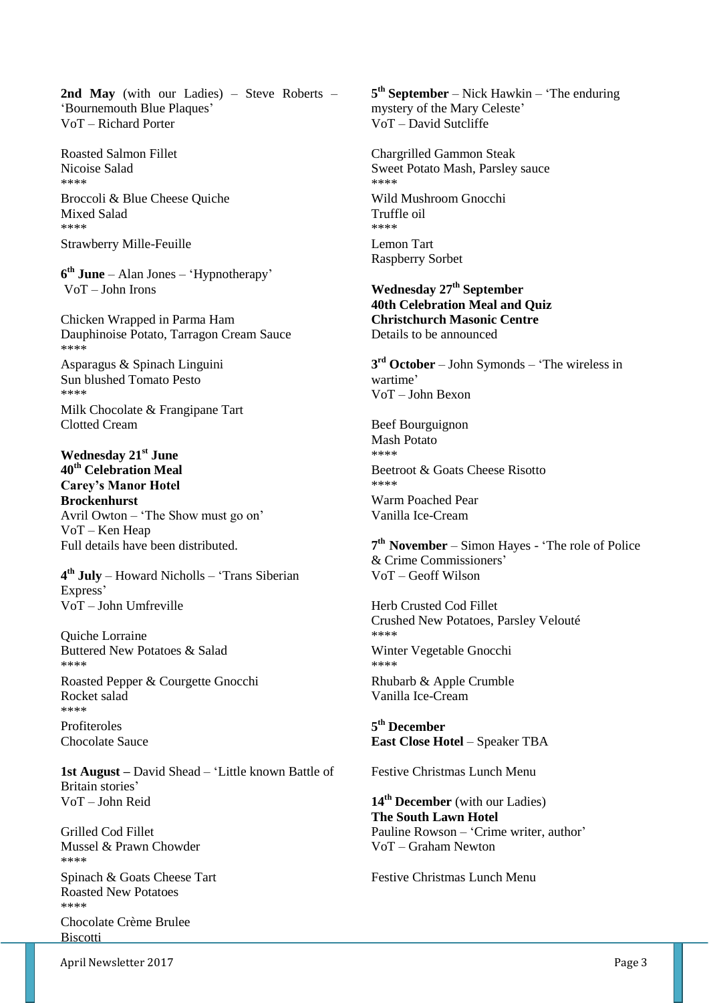**2nd May** (with our Ladies) – Steve Roberts – "Bournemouth Blue Plaques" VoT – Richard Porter

Roasted Salmon Fillet Nicoise Salad \*\*\*\* Broccoli & Blue Cheese Quiche Mixed Salad \*\*\*\* Strawberry Mille-Feuille

**6 th June** – Alan Jones – "Hypnotherapy" VoT – John Irons

Chicken Wrapped in Parma Ham Dauphinoise Potato, Tarragon Cream Sauce \*\*\*\*

Asparagus & Spinach Linguini Sun blushed Tomato Pesto \*\*\*\* Milk Chocolate & Frangipane Tart Clotted Cream

**Wednesday 21st June 40th Celebration Meal Carey's Manor Hotel Brockenhurst**  Avril Owton – "The Show must go on" VoT – Ken Heap Full details have been distributed.

**4 th July** – Howard Nicholls – "Trans Siberian Express' VoT – John Umfreville

Quiche Lorraine Buttered New Potatoes & Salad \*\*\*\* Roasted Pepper & Courgette Gnocchi Rocket salad \*\*\*\* Profiteroles

Chocolate Sauce

**1st August –** David Shead – "Little known Battle of Britain stories' VoT – John Reid

Grilled Cod Fillet Mussel & Prawn Chowder \*\*\*\* Spinach & Goats Cheese Tart Roasted New Potatoes \*\*\*\* Chocolate Crème Brulee **Biscotti** 

**5 th September** – Nick Hawkin – "The enduring mystery of the Mary Celeste" VoT – David Sutcliffe

Chargrilled Gammon Steak Sweet Potato Mash, Parsley sauce \*\*\*\* Wild Mushroom Gnocchi Truffle oil \*\*\*\* Lemon Tart Raspberry Sorbet

**Wednesday 27th September 40th Celebration Meal and Quiz Christchurch Masonic Centre** Details to be announced

**3 rd October** – John Symonds – "The wireless in wartime" VoT – John Bexon

Beef Bourguignon Mash Potato \*\*\*\* Beetroot & Goats Cheese Risotto \*\*\*\* Warm Poached Pear Vanilla Ice-Cream

**7 th November** – Simon Hayes - "The role of Police & Crime Commissioners" VoT – Geoff Wilson

Herb Crusted Cod Fillet Crushed New Potatoes, Parsley Velouté \*\*\*\* Winter Vegetable Gnocchi \*\*\*\* Rhubarb & Apple Crumble Vanilla Ice-Cream

**5 th December East Close Hotel** – Speaker TBA

Festive Christmas Lunch Menu

**14th December** (with our Ladies) **The South Lawn Hotel** Pauline Rowson – 'Crime writer, author' VoT – Graham Newton

Festive Christmas Lunch Menu

April Newsletter 2017 **Page 3**